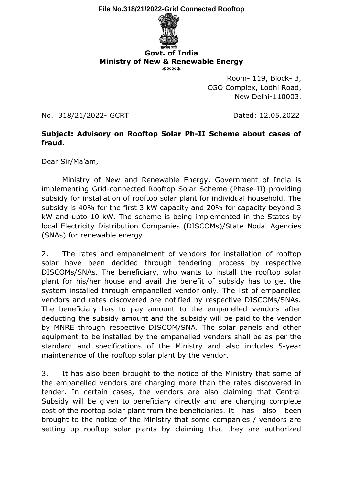**File No.318/21/2022-Grid Connected Rooftop**



## **Govt. of India Ministry of New & Renewable Energy \*\*\*\***

Room- 119, Block- 3, CGO Complex, Lodhi Road, New Delhi-110003.

No. 318/21/2022- GCRT Dated: 12.05.2022

## **Subject: Advisory on Rooftop Solar Ph-II Scheme about cases of fraud.**

Dear Sir/Ma'am,

Ministry of New and Renewable Energy, Government of India is implementing Grid-connected Rooftop Solar Scheme (Phase-II) providing subsidy for installation of rooftop solar plant for individual household. The subsidy is 40% for the first 3 kW capacity and 20% for capacity beyond 3 kW and upto 10 kW. The scheme is being implemented in the States by local Electricity Distribution Companies (DISCOMs)/State Nodal Agencies (SNAs) for renewable energy.

2. The rates and empanelment of vendors for installation of rooftop solar have been decided through tendering process by respective DISCOMs/SNAs. The beneficiary, who wants to install the rooftop solar plant for his/her house and avail the benefit of subsidy has to get the system installed through empanelled vendor only. The list of empanelled vendors and rates discovered are notified by respective DISCOMs/SNAs. The beneficiary has to pay amount to the empanelled vendors after deducting the subsidy amount and the subsidy will be paid to the vendor by MNRE through respective DISCOM/SNA. The solar panels and other equipment to be installed by the empanelled vendors shall be as per the standard and specifications of the Ministry and also includes 5-year maintenance of the rooftop solar plant by the vendor.

3. It has also been brought to the notice of the Ministry that some of the empanelled vendors are charging more than the rates discovered in tender. In certain cases, the vendors are also claiming that Central Subsidy will be given to beneficiary directly and are charging complete cost of the rooftop solar plant from the beneficiaries. It has also been brought to the notice of the Ministry that some companies / vendors are setting up rooftop solar plants by claiming that they are authorized